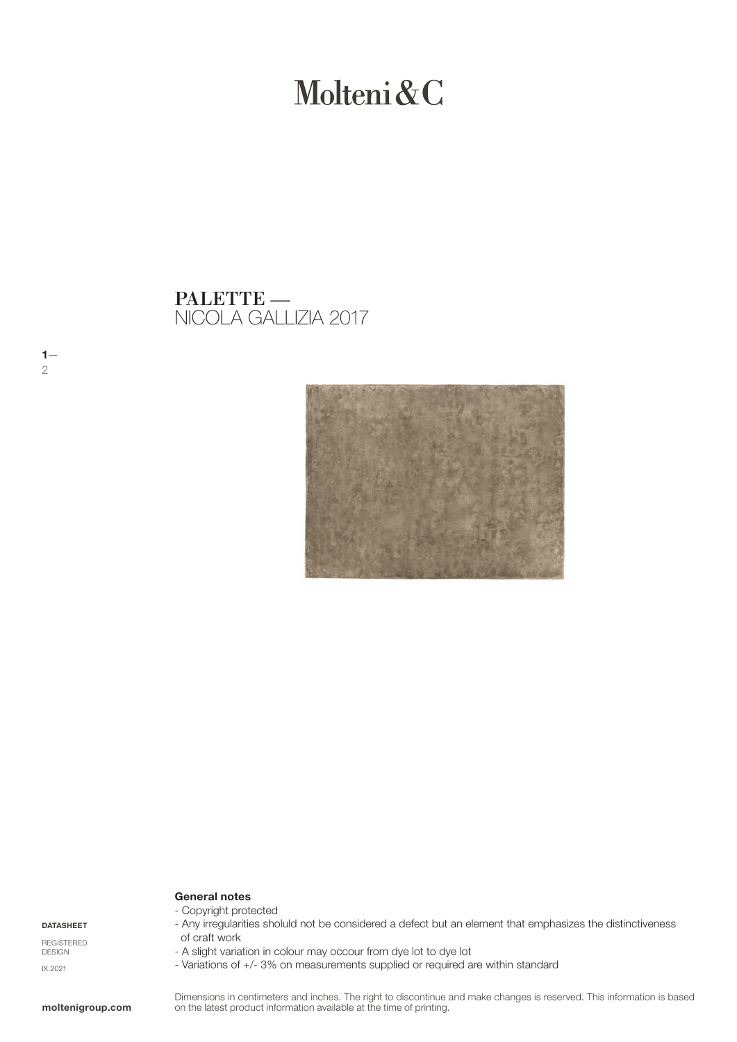# Molteni&C

NICOLA GALLIZIA 2017 PALETTE —



#### General notes - Copyright protected

DATASHEET

 $1-$ 

2

REGISTERED DESIGN IX.2021

#### moltenigroup.com

#### - Any irregularities sholuld not be considered a defect but an element that emphasizes the distinctiveness of craft work

- A slight variation in colour may occour from dye lot to dye lot
- Variations of +/- 3% on measurements supplied or required are within standard

Dimensions in centimeters and inches. The right to discontinue and make changes is reserved. This information is based on the latest product information available at the time of printing.